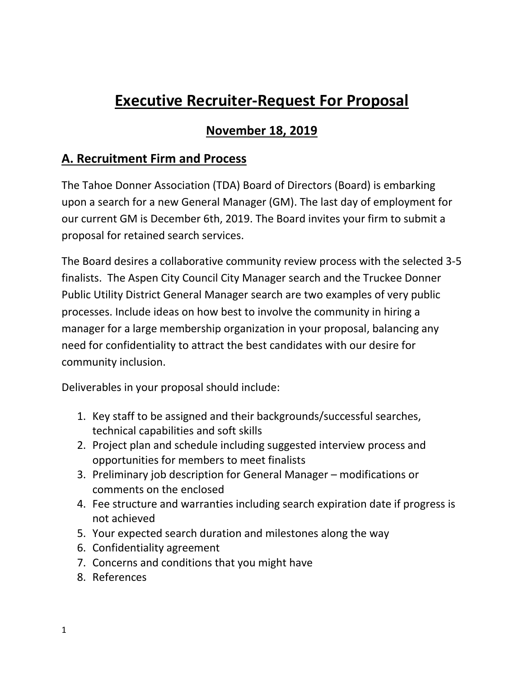# **Executive Recruiter-Request For Proposal**

### **November 18, 2019**

## **A. Recruitment Firm and Process**

The Tahoe Donner Association (TDA) Board of Directors (Board) is embarking upon a search for a new General Manager (GM). The last day of employment for our current GM is December 6th, 2019. The Board invites your firm to submit a proposal for retained search services.

The Board desires a collaborative community review process with the selected 3-5 finalists. The Aspen City Council City Manager search and the Truckee Donner Public Utility District General Manager search are two examples of very public processes. Include ideas on how best to involve the community in hiring a manager for a large membership organization in your proposal, balancing any need for confidentiality to attract the best candidates with our desire for community inclusion.

Deliverables in your proposal should include:

- 1. Key staff to be assigned and their backgrounds/successful searches, technical capabilities and soft skills
- 2. Project plan and schedule including suggested interview process and opportunities for members to meet finalists
- 3. Preliminary job description for General Manager modifications or comments on the enclosed
- 4. Fee structure and warranties including search expiration date if progress is not achieved
- 5. Your expected search duration and milestones along the way
- 6. Confidentiality agreement
- 7. Concerns and conditions that you might have
- 8. References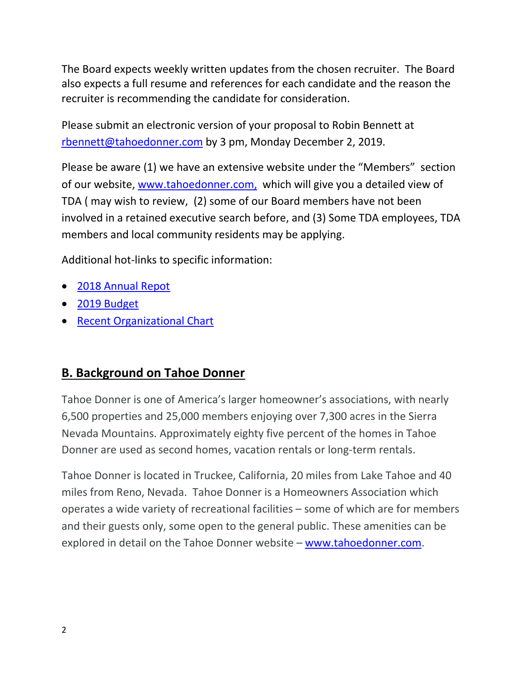The Board expects weekly written updates from the chosen recruiter. The Board also expects a full resume and references for each candidate and the reason the recruiter is recommending the candidate for consideration.

Please submit an electronic version of your proposal to Robin Bennett at [rbennett@tahoedonner.com](mailto:rbennett@tahoedonner.com) by 3 pm, Monday December 2, 2019.

Please be aware (1) we have an extensive website under the "Members" section of our website, [www.tahoedonner.com,](http://www.tahoedonner.com/) which will give you a detailed view of TDA ( may wish to review, (2) some of our Board members have not been involved in a retained executive search before, and (3) Some TDA employees, TDA members and local community residents may be applying.

Additional hot-links to specific information:

- [2018 Annual Repot](http://www.tahoedonner.com/wp-content/uploads/2019/04/TD_AnnualReport_2019_v2_WEB-spreads.pdf)
- [2019 Budget](http://www.tahoedonner.com/wp-content/uploads/2019/03/2019_BudgetReport_web1.pdf)
- Recent [Organizational Chart](https://www.tahoedonner.com/members/governance/board-of-directors/organizational-chart/)

### **B. Background on Tahoe Donner**

Tahoe Donner is one of America's larger homeowner's associations, with nearly 6,500 properties and 25,000 members enjoying over 7,300 acres in the Sierra Nevada Mountains. Approximately eighty five percent of the homes in Tahoe Donner are used as second homes, vacation rentals or long-term rentals.

Tahoe Donner is located in Truckee, California, 20 miles from Lake Tahoe and 40 miles from Reno, Nevada. Tahoe Donner is a Homeowners Association which operates a wide variety of recreational facilities – some of which are for members and their guests only, some open to the general public. These amenities can be explored in detail on the Tahoe Donner website – [www.tahoedonner.com.](http://www.tahoedonner.com/)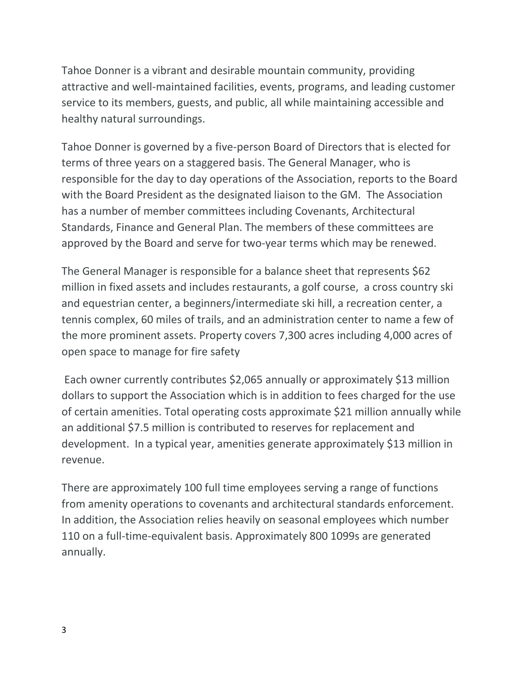Tahoe Donner is a vibrant and desirable mountain community, providing attractive and well-maintained facilities, events, programs, and leading customer service to its members, guests, and public, all while maintaining accessible and healthy natural surroundings.

Tahoe Donner is governed by a five-person Board of Directors that is elected for terms of three years on a staggered basis. The General Manager, who is responsible for the day to day operations of the Association, reports to the Board with the Board President as the designated liaison to the GM. The Association has a number of member committees including Covenants, Architectural Standards, Finance and General Plan. The members of these committees are approved by the Board and serve for two-year terms which may be renewed.

The General Manager is responsible for a balance sheet that represents \$62 million in fixed assets and includes restaurants, a golf course, a cross country ski and equestrian center, a beginners/intermediate ski hill, a recreation center, a tennis complex, 60 miles of trails, and an administration center to name a few of the more prominent assets. Property covers 7,300 acres including 4,000 acres of open space to manage for fire safety

Each owner currently contributes \$2,065 annually or approximately \$13 million dollars to support the Association which is in addition to fees charged for the use of certain amenities. Total operating costs approximate \$21 million annually while an additional \$7.5 million is contributed to reserves for replacement and development. In a typical year, amenities generate approximately \$13 million in revenue.

There are approximately 100 full time employees serving a range of functions from amenity operations to covenants and architectural standards enforcement. In addition, the Association relies heavily on seasonal employees which number 110 on a full-time-equivalent basis. Approximately 800 1099s are generated annually.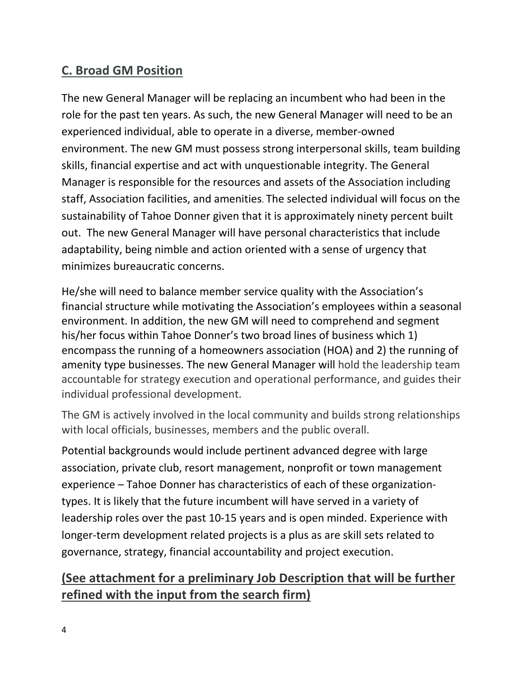### **C. Broad GM Position**

The new General Manager will be replacing an incumbent who had been in the role for the past ten years. As such, the new General Manager will need to be an experienced individual, able to operate in a diverse, member-owned environment. The new GM must possess strong interpersonal skills, team building skills, financial expertise and act with unquestionable integrity. The General Manager is responsible for the resources and assets of the Association including staff, Association facilities, and amenities. The selected individual will focus on the sustainability of Tahoe Donner given that it is approximately ninety percent built out. The new General Manager will have personal characteristics that include adaptability, being nimble and action oriented with a sense of urgency that minimizes bureaucratic concerns.

He/she will need to balance member service quality with the Association's financial structure while motivating the Association's employees within a seasonal environment. In addition, the new GM will need to comprehend and segment his/her focus within Tahoe Donner's two broad lines of business which 1) encompass the running of a homeowners association (HOA) and 2) the running of amenity type businesses. The new General Manager will hold the leadership team accountable for strategy execution and operational performance, and guides their individual professional development.

The GM is actively involved in the local community and builds strong relationships with local officials, businesses, members and the public overall.

Potential backgrounds would include pertinent advanced degree with large association, private club, resort management, nonprofit or town management experience – Tahoe Donner has characteristics of each of these organizationtypes. It is likely that the future incumbent will have served in a variety of leadership roles over the past 10-15 years and is open minded. Experience with longer-term development related projects is a plus as are skill sets related to governance, strategy, financial accountability and project execution.

## **(See attachment for a preliminary Job Description that will be further refined with the input from the search firm)**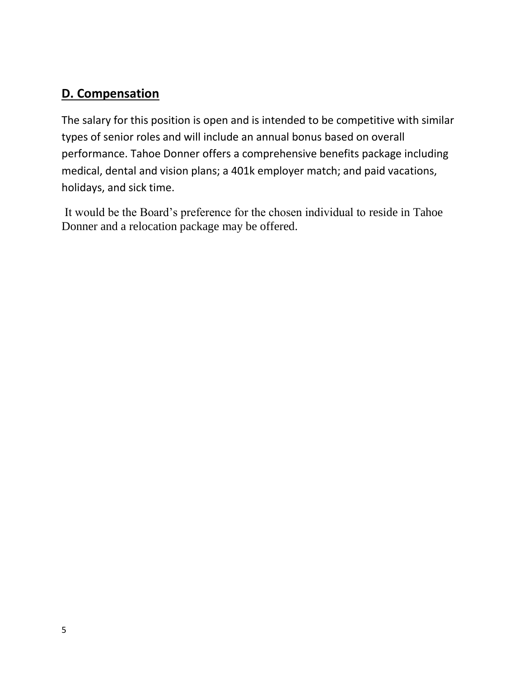### **D. Compensation**

The salary for this position is open and is intended to be competitive with similar types of senior roles and will include an annual bonus based on overall performance. Tahoe Donner offers a comprehensive benefits package including medical, dental and vision plans; a 401k employer match; and paid vacations, holidays, and sick time.

It would be the Board's preference for the chosen individual to reside in Tahoe Donner and a relocation package may be offered.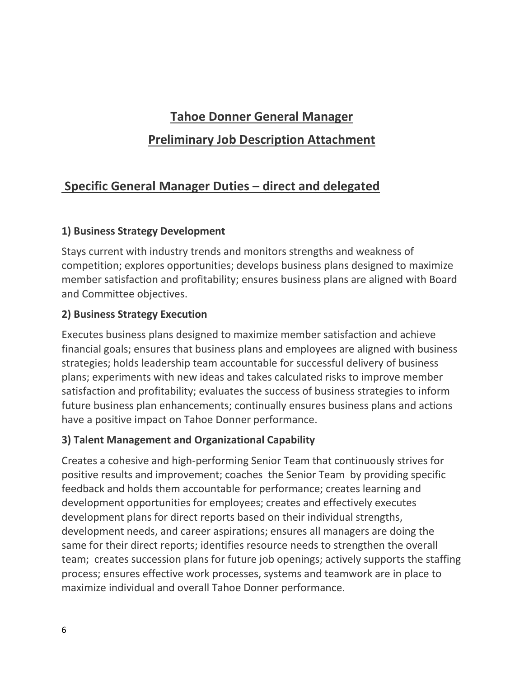# **Tahoe Donner General Manager**

### **Preliminary Job Description Attachment**

### **Specific General Manager Duties – direct and delegated**

#### **1) Business Strategy Development**

Stays current with industry trends and monitors strengths and weakness of competition; explores opportunities; develops business plans designed to maximize member satisfaction and profitability; ensures business plans are aligned with Board and Committee objectives.

#### **2) Business Strategy Execution**

Executes business plans designed to maximize member satisfaction and achieve financial goals; ensures that business plans and employees are aligned with business strategies; holds leadership team accountable for successful delivery of business plans; experiments with new ideas and takes calculated risks to improve member satisfaction and profitability; evaluates the success of business strategies to inform future business plan enhancements; continually ensures business plans and actions have a positive impact on Tahoe Donner performance.

#### **3) Talent Management and Organizational Capability**

Creates a cohesive and high-performing Senior Team that continuously strives for positive results and improvement; coaches the Senior Team by providing specific feedback and holds them accountable for performance; creates learning and development opportunities for employees; creates and effectively executes development plans for direct reports based on their individual strengths, development needs, and career aspirations; ensures all managers are doing the same for their direct reports; identifies resource needs to strengthen the overall team; creates succession plans for future job openings; actively supports the staffing process; ensures effective work processes, systems and teamwork are in place to maximize individual and overall Tahoe Donner performance.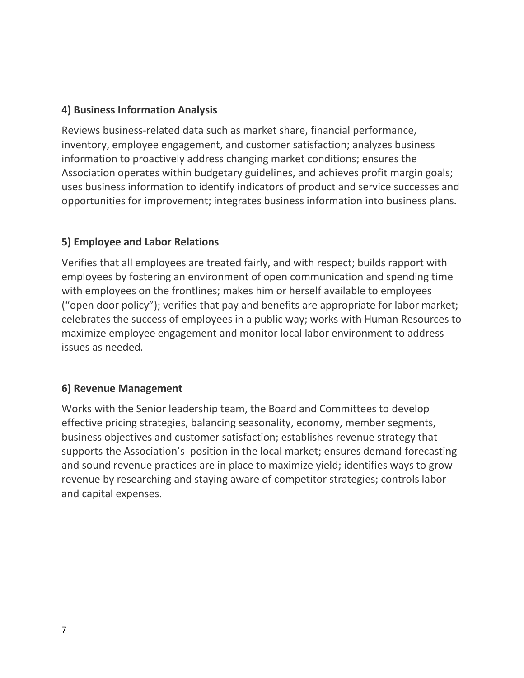#### **4) Business Information Analysis**

Reviews business-related data such as market share, financial performance, inventory, employee engagement, and customer satisfaction; analyzes business information to proactively address changing market conditions; ensures the Association operates within budgetary guidelines, and achieves profit margin goals; uses business information to identify indicators of product and service successes and opportunities for improvement; integrates business information into business plans.

#### **5) Employee and Labor Relations**

Verifies that all employees are treated fairly, and with respect; builds rapport with employees by fostering an environment of open communication and spending time with employees on the frontlines; makes him or herself available to employees ("open door policy"); verifies that pay and benefits are appropriate for labor market; celebrates the success of employees in a public way; works with Human Resources to maximize employee engagement and monitor local labor environment to address issues as needed.

#### **6) Revenue Management**

Works with the Senior leadership team, the Board and Committees to develop effective pricing strategies, balancing seasonality, economy, member segments, business objectives and customer satisfaction; establishes revenue strategy that supports the Association's position in the local market; ensures demand forecasting and sound revenue practices are in place to maximize yield; identifies ways to grow revenue by researching and staying aware of competitor strategies; controls labor and capital expenses.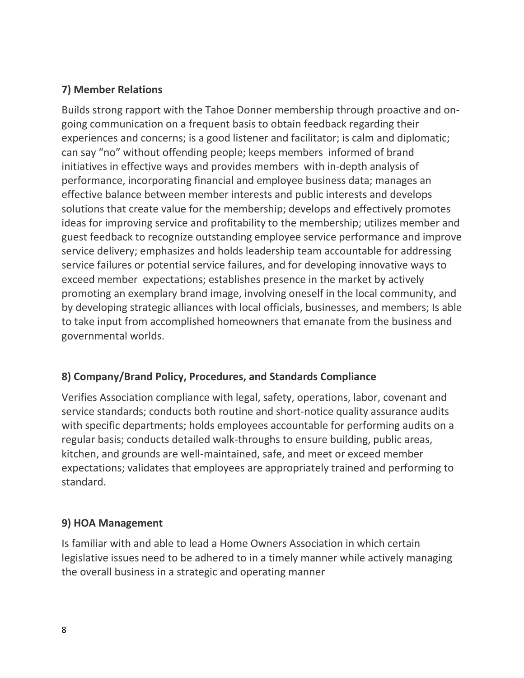#### **7) Member Relations**

Builds strong rapport with the Tahoe Donner membership through proactive and ongoing communication on a frequent basis to obtain feedback regarding their experiences and concerns; is a good listener and facilitator; is calm and diplomatic; can say "no" without offending people; keeps members informed of brand initiatives in effective ways and provides members with in-depth analysis of performance, incorporating financial and employee business data; manages an effective balance between member interests and public interests and develops solutions that create value for the membership; develops and effectively promotes ideas for improving service and profitability to the membership; utilizes member and guest feedback to recognize outstanding employee service performance and improve service delivery; emphasizes and holds leadership team accountable for addressing service failures or potential service failures, and for developing innovative ways to exceed member expectations; establishes presence in the market by actively promoting an exemplary brand image, involving oneself in the local community, and by developing strategic alliances with local officials, businesses, and members; Is able to take input from accomplished homeowners that emanate from the business and governmental worlds.

#### **8) Company/Brand Policy, Procedures, and Standards Compliance**

Verifies Association compliance with legal, safety, operations, labor, covenant and service standards; conducts both routine and short-notice quality assurance audits with specific departments; holds employees accountable for performing audits on a regular basis; conducts detailed walk-throughs to ensure building, public areas, kitchen, and grounds are well-maintained, safe, and meet or exceed member expectations; validates that employees are appropriately trained and performing to standard.

#### **9) HOA Management**

Is familiar with and able to lead a Home Owners Association in which certain legislative issues need to be adhered to in a timely manner while actively managing the overall business in a strategic and operating manner